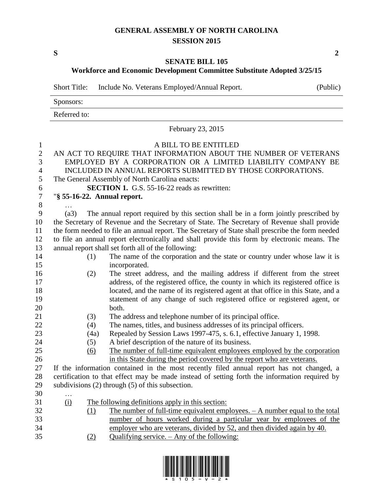## **GENERAL ASSEMBLY OF NORTH CAROLINA SESSION 2015**

**S 2**

## **SENATE BILL 105**

**Workforce and Economic Development Committee Substitute Adopted 3/25/15**

Short Title: Include No. Veterans Employed/Annual Report. (Public)

|                  |                                                                                                                                                     | Sponsors:                                                       |                                                                                                                                                             |  |  |  |  |  |  |  |  |
|------------------|-----------------------------------------------------------------------------------------------------------------------------------------------------|-----------------------------------------------------------------|-------------------------------------------------------------------------------------------------------------------------------------------------------------|--|--|--|--|--|--|--|--|
|                  |                                                                                                                                                     | Referred to:                                                    |                                                                                                                                                             |  |  |  |  |  |  |  |  |
|                  | February 23, 2015                                                                                                                                   |                                                                 |                                                                                                                                                             |  |  |  |  |  |  |  |  |
| $\mathbf{1}$     |                                                                                                                                                     |                                                                 | A BILL TO BE ENTITLED                                                                                                                                       |  |  |  |  |  |  |  |  |
| $\mathbf{2}$     |                                                                                                                                                     | AN ACT TO REQUIRE THAT INFORMATION ABOUT THE NUMBER OF VETERANS |                                                                                                                                                             |  |  |  |  |  |  |  |  |
| 3                | EMPLOYED BY A CORPORATION OR A LIMITED LIABILITY COMPANY BE                                                                                         |                                                                 |                                                                                                                                                             |  |  |  |  |  |  |  |  |
| $\overline{4}$   | INCLUDED IN ANNUAL REPORTS SUBMITTED BY THOSE CORPORATIONS.                                                                                         |                                                                 |                                                                                                                                                             |  |  |  |  |  |  |  |  |
| 5                | The General Assembly of North Carolina enacts:                                                                                                      |                                                                 |                                                                                                                                                             |  |  |  |  |  |  |  |  |
| 6                | <b>SECTION 1.</b> G.S. 55-16-22 reads as rewritten:                                                                                                 |                                                                 |                                                                                                                                                             |  |  |  |  |  |  |  |  |
| $\boldsymbol{7}$ | "§ 55-16-22. Annual report.                                                                                                                         |                                                                 |                                                                                                                                                             |  |  |  |  |  |  |  |  |
| 8                |                                                                                                                                                     |                                                                 |                                                                                                                                                             |  |  |  |  |  |  |  |  |
| 9                | (a3)                                                                                                                                                |                                                                 | The annual report required by this section shall be in a form jointly prescribed by                                                                         |  |  |  |  |  |  |  |  |
| 10               | the Secretary of Revenue and the Secretary of State. The Secretary of Revenue shall provide                                                         |                                                                 |                                                                                                                                                             |  |  |  |  |  |  |  |  |
| 11               | the form needed to file an annual report. The Secretary of State shall prescribe the form needed                                                    |                                                                 |                                                                                                                                                             |  |  |  |  |  |  |  |  |
| 12               | to file an annual report electronically and shall provide this form by electronic means. The<br>annual report shall set forth all of the following: |                                                                 |                                                                                                                                                             |  |  |  |  |  |  |  |  |
| 13               |                                                                                                                                                     |                                                                 |                                                                                                                                                             |  |  |  |  |  |  |  |  |
| 14               |                                                                                                                                                     | (1)                                                             | The name of the corporation and the state or country under whose law it is                                                                                  |  |  |  |  |  |  |  |  |
| 15               |                                                                                                                                                     |                                                                 | incorporated.                                                                                                                                               |  |  |  |  |  |  |  |  |
| 16               |                                                                                                                                                     | (2)                                                             | The street address, and the mailing address if different from the street<br>address, of the registered office, the county in which its registered office is |  |  |  |  |  |  |  |  |
| 17<br>18         |                                                                                                                                                     |                                                                 | located, and the name of its registered agent at that office in this State, and a                                                                           |  |  |  |  |  |  |  |  |
| 19               |                                                                                                                                                     |                                                                 | statement of any change of such registered office or registered agent, or                                                                                   |  |  |  |  |  |  |  |  |
| 20               |                                                                                                                                                     |                                                                 | both.                                                                                                                                                       |  |  |  |  |  |  |  |  |
| 21               |                                                                                                                                                     | (3)                                                             | The address and telephone number of its principal office.                                                                                                   |  |  |  |  |  |  |  |  |
| 22               |                                                                                                                                                     | (4)                                                             | The names, titles, and business addresses of its principal officers.                                                                                        |  |  |  |  |  |  |  |  |
| 23               |                                                                                                                                                     | (4a)                                                            | Repealed by Session Laws 1997-475, s. 6.1, effective January 1, 1998.                                                                                       |  |  |  |  |  |  |  |  |
| 24               |                                                                                                                                                     | (5)                                                             | A brief description of the nature of its business.                                                                                                          |  |  |  |  |  |  |  |  |
| 25               |                                                                                                                                                     | (6)                                                             | The number of full-time equivalent employees employed by the corporation                                                                                    |  |  |  |  |  |  |  |  |
| 26               |                                                                                                                                                     |                                                                 | in this State during the period covered by the report who are veterans.                                                                                     |  |  |  |  |  |  |  |  |
| 27               |                                                                                                                                                     |                                                                 | If the information contained in the most recently filed annual report has not changed, a                                                                    |  |  |  |  |  |  |  |  |
| 28               | certification to that effect may be made instead of setting forth the information required by                                                       |                                                                 |                                                                                                                                                             |  |  |  |  |  |  |  |  |
| 29               | subdivisions $(2)$ through $(5)$ of this subsection.                                                                                                |                                                                 |                                                                                                                                                             |  |  |  |  |  |  |  |  |
| 30               | .                                                                                                                                                   |                                                                 |                                                                                                                                                             |  |  |  |  |  |  |  |  |
| 31               | (i)                                                                                                                                                 |                                                                 | The following definitions apply in this section:                                                                                                            |  |  |  |  |  |  |  |  |
| 32               |                                                                                                                                                     | <u>(1)</u>                                                      | <u>The number of full-time equivalent employees. – A number equal to the total</u>                                                                          |  |  |  |  |  |  |  |  |
| 33               |                                                                                                                                                     |                                                                 | number of hours worked during a particular year by employees of the                                                                                         |  |  |  |  |  |  |  |  |
| 34               |                                                                                                                                                     |                                                                 | employer who are veterans, divided by 52, and then divided again by 40.                                                                                     |  |  |  |  |  |  |  |  |
| $\sim$ $\sim$    |                                                                                                                                                     |                                                                 |                                                                                                                                                             |  |  |  |  |  |  |  |  |

(2) Qualifying service. – Any of the following:

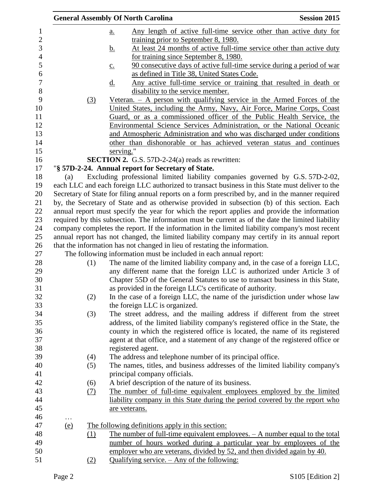|                                                                                                  |            |     | <b>General Assembly Of North Carolina</b>                                                         | <b>Session 2015</b> |  |  |
|--------------------------------------------------------------------------------------------------|------------|-----|---------------------------------------------------------------------------------------------------|---------------------|--|--|
|                                                                                                  |            |     | <u>Any length of active full-time service other than active duty for</u><br>$\underline{a}$ .     |                     |  |  |
|                                                                                                  |            |     | training prior to September 8, 1980.                                                              |                     |  |  |
|                                                                                                  |            |     | At least 24 months of active full-time service other than active duty<br><u>b.</u>                |                     |  |  |
|                                                                                                  |            |     | for training since September 8, 1980.                                                             |                     |  |  |
|                                                                                                  |            |     | 90 consecutive days of active full-time service during a period of war<br>$\underline{c}$ .       |                     |  |  |
|                                                                                                  |            |     | as defined in Title 38, United States Code.                                                       |                     |  |  |
|                                                                                                  |            |     | Any active full-time service or training that resulted in death or<br>$\underline{d}$ .           |                     |  |  |
|                                                                                                  |            |     | disability to the service member.                                                                 |                     |  |  |
|                                                                                                  |            | (3) | Veteran. $-$ A person with qualifying service in the Armed Forces of the                          |                     |  |  |
|                                                                                                  |            |     | United States, including the Army, Navy, Air Force, Marine Corps, Coast                           |                     |  |  |
|                                                                                                  |            |     | Guard, or as a commissioned officer of the Public Health Service, the                             |                     |  |  |
|                                                                                                  |            |     | Environmental Science Services Administration, or the National Oceanic                            |                     |  |  |
|                                                                                                  |            |     | and Atmospheric Administration and who was discharged under conditions                            |                     |  |  |
|                                                                                                  |            |     | other than dishonorable or has achieved veteran status and continues                              |                     |  |  |
|                                                                                                  |            |     | serving."                                                                                         |                     |  |  |
|                                                                                                  |            |     | <b>SECTION 2.</b> G.S. 57D-2-24(a) reads as rewritten:                                            |                     |  |  |
|                                                                                                  |            |     | "§ 57D-2-24. Annual report for Secretary of State.                                                |                     |  |  |
|                                                                                                  | (a)        |     | Excluding professional limited liability companies governed by G.S. 57D-2-02,                     |                     |  |  |
|                                                                                                  |            |     | each LLC and each foreign LLC authorized to transact business in this State must deliver to the   |                     |  |  |
| Secretary of State for filing annual reports on a form prescribed by, and in the manner required |            |     |                                                                                                   |                     |  |  |
| by, the Secretary of State and as otherwise provided in subsection (b) of this section. Each     |            |     |                                                                                                   |                     |  |  |
| annual report must specify the year for which the report applies and provide the information     |            |     |                                                                                                   |                     |  |  |
|                                                                                                  |            |     | required by this subsection. The information must be current as of the date the limited liability |                     |  |  |
|                                                                                                  |            |     | company completes the report. If the information in the limited liability company's most recent   |                     |  |  |
|                                                                                                  |            |     | annual report has not changed, the limited liability company may certify in its annual report     |                     |  |  |
|                                                                                                  |            |     | that the information has not changed in lieu of restating the information.                        |                     |  |  |
|                                                                                                  |            |     | The following information must be included in each annual report:                                 |                     |  |  |
|                                                                                                  |            | (1) | The name of the limited liability company and, in the case of a foreign LLC,                      |                     |  |  |
|                                                                                                  |            |     | any different name that the foreign LLC is authorized under Article 3 of                          |                     |  |  |
|                                                                                                  |            |     | Chapter 55D of the General Statutes to use to transact business in this State,                    |                     |  |  |
|                                                                                                  |            |     | as provided in the foreign LLC's certificate of authority.                                        |                     |  |  |
|                                                                                                  |            | (2) | In the case of a foreign LLC, the name of the jurisdiction under whose law                        |                     |  |  |
|                                                                                                  |            |     | the foreign LLC is organized.                                                                     |                     |  |  |
|                                                                                                  |            | (3) | The street address, and the mailing address if different from the street                          |                     |  |  |
|                                                                                                  |            |     | address, of the limited liability company's registered office in the State, the                   |                     |  |  |
|                                                                                                  |            |     | county in which the registered office is located, the name of its registered                      |                     |  |  |
|                                                                                                  |            |     | agent at that office, and a statement of any change of the registered office or                   |                     |  |  |
|                                                                                                  |            |     | registered agent.                                                                                 |                     |  |  |
|                                                                                                  |            | (4) | The address and telephone number of its principal office.                                         |                     |  |  |
|                                                                                                  |            | (5) | The names, titles, and business addresses of the limited liability company's                      |                     |  |  |
|                                                                                                  |            |     | principal company officials.                                                                      |                     |  |  |
|                                                                                                  |            | (6) | A brief description of the nature of its business.                                                |                     |  |  |
|                                                                                                  |            | (7) | The number of full-time equivalent employees employed by the limited                              |                     |  |  |
|                                                                                                  |            |     | liability company in this State during the period covered by the report who                       |                     |  |  |
|                                                                                                  |            |     | are veterans.                                                                                     |                     |  |  |
|                                                                                                  | $\ldots$   |     |                                                                                                   |                     |  |  |
|                                                                                                  | <u>(e)</u> |     | The following definitions apply in this section:                                                  |                     |  |  |
|                                                                                                  |            | (1) | The number of full-time equivalent employees. $-$ A number equal to the total                     |                     |  |  |
|                                                                                                  |            |     | number of hours worked during a particular year by employees of the                               |                     |  |  |
|                                                                                                  |            |     | employer who are veterans, divided by 52, and then divided again by 40.                           |                     |  |  |
|                                                                                                  |            | (2) | Qualifying service. – Any of the following:                                                       |                     |  |  |